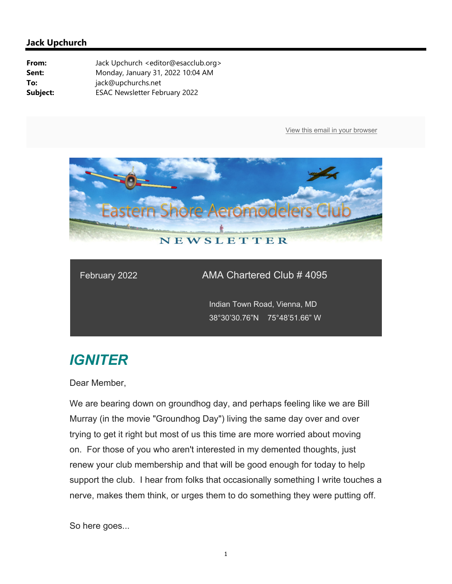

### February 2022 AMA Chartered Club # 4095

 Indian Town Road, Vienna, MD 38°30'30.76"N 75°48'51.66" W

# *IGNITER*

Dear Member,

We are bearing down on groundhog day, and perhaps feeling like we are Bill Murray (in the movie "Groundhog Day") living the same day over and over trying to get it right but most of us this time are more worried about moving on. For those of you who aren't interested in my demented thoughts, just renew your club membership and that will be good enough for today to help support the club. I hear from folks that occasionally something I write touches a nerve, makes them think, or urges them to do something they were putting off.

So here goes...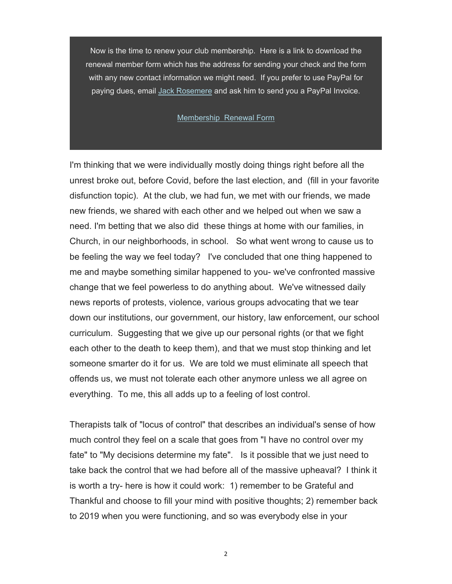Now is the time to renew your club membership. Here is a link to download the renewal member form which has the address for sending your check and the form with any new contact information we might need. If you prefer to use PayPal for paying dues, email Jack Rosemere and ask him to send you a PayPal Invoice.

#### Membership Renewal Form

I'm thinking that we were individually mostly doing things right before all the unrest broke out, before Covid, before the last election, and (fill in your favorite disfunction topic). At the club, we had fun, we met with our friends, we made new friends, we shared with each other and we helped out when we saw a need. I'm betting that we also did these things at home with our families, in Church, in our neighborhoods, in school. So what went wrong to cause us to be feeling the way we feel today? I've concluded that one thing happened to me and maybe something similar happened to you- we've confronted massive change that we feel powerless to do anything about. We've witnessed daily news reports of protests, violence, various groups advocating that we tear down our institutions, our government, our history, law enforcement, our school curriculum. Suggesting that we give up our personal rights (or that we fight each other to the death to keep them), and that we must stop thinking and let someone smarter do it for us. We are told we must eliminate all speech that offends us, we must not tolerate each other anymore unless we all agree on everything. To me, this all adds up to a feeling of lost control.

Therapists talk of "locus of control" that describes an individual's sense of how much control they feel on a scale that goes from "I have no control over my fate" to "My decisions determine my fate". Is it possible that we just need to take back the control that we had before all of the massive upheaval? I think it is worth a try- here is how it could work: 1) remember to be Grateful and Thankful and choose to fill your mind with positive thoughts; 2) remember back to 2019 when you were functioning, and so was everybody else in your

2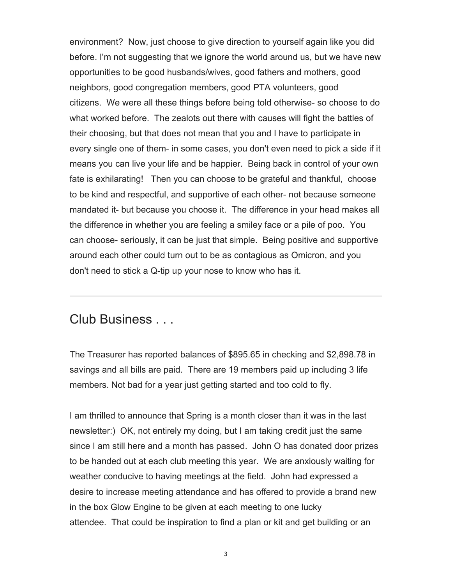environment? Now, just choose to give direction to yourself again like you did before. I'm not suggesting that we ignore the world around us, but we have new opportunities to be good husbands/wives, good fathers and mothers, good neighbors, good congregation members, good PTA volunteers, good citizens. We were all these things before being told otherwise- so choose to do what worked before. The zealots out there with causes will fight the battles of their choosing, but that does not mean that you and I have to participate in every single one of them- in some cases, you don't even need to pick a side if it means you can live your life and be happier. Being back in control of your own fate is exhilarating! Then you can choose to be grateful and thankful, choose to be kind and respectful, and supportive of each other- not because someone mandated it- but because you choose it. The difference in your head makes all the difference in whether you are feeling a smiley face or a pile of poo. You can choose- seriously, it can be just that simple. Being positive and supportive around each other could turn out to be as contagious as Omicron, and you don't need to stick a Q-tip up your nose to know who has it.

## Club Business . . .

The Treasurer has reported balances of \$895.65 in checking and \$2,898.78 in savings and all bills are paid. There are 19 members paid up including 3 life members. Not bad for a year just getting started and too cold to fly.

I am thrilled to announce that Spring is a month closer than it was in the last newsletter:) OK, not entirely my doing, but I am taking credit just the same since I am still here and a month has passed. John O has donated door prizes to be handed out at each club meeting this year. We are anxiously waiting for weather conducive to having meetings at the field. John had expressed a desire to increase meeting attendance and has offered to provide a brand new in the box Glow Engine to be given at each meeting to one lucky attendee. That could be inspiration to find a plan or kit and get building or an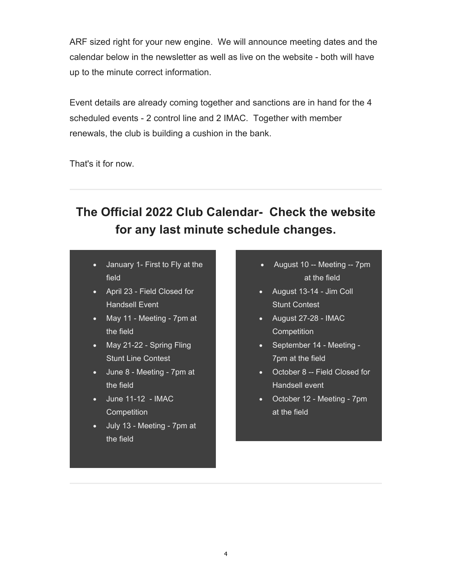ARF sized right for your new engine. We will announce meeting dates and the calendar below in the newsletter as well as live on the website - both will have up to the minute correct information.

Event details are already coming together and sanctions are in hand for the 4 scheduled events - 2 control line and 2 IMAC. Together with member renewals, the club is building a cushion in the bank.

That's it for now.

# **The Official 2022 Club Calendar- Check the website for any last minute schedule changes.**

- January 1- First to Fly at the field
- April 23 Field Closed for Handsell Event
- May 11 Meeting 7pm at the field
- May 21-22 Spring Fling Stunt Line Contest
- June 8 Meeting 7pm at the field
- June 11-12 IMAC **Competition**
- July 13 Meeting 7pm at the field
- August 10 -- Meeting -- 7pm at the field
- August 13-14 Jim Coll Stunt Contest
- August 27-28 IMAC **Competition**
- September 14 Meeting -7pm at the field
- October 8 -- Field Closed for Handsell event
- October 12 Meeting 7pm at the field